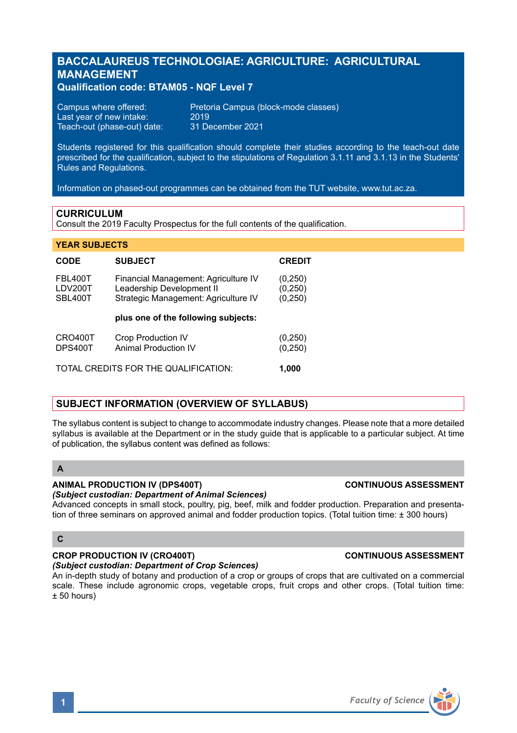# **BACCALAUREUS TECHNOLOGIAE: AGRICULTURE: AGRICULTURAL MANAGEMENT**

## **Qualification code: BTAM05 - NQF Level 7**

| Campus where offered:       | Preto |
|-----------------------------|-------|
| Last year of new intake:    | 2019  |
| Teach-out (phase-out) date: | 31 D  |

Pretoria Campus (block-mode classes)<br>2019 31 December 2021

Students registered for this qualification should complete their studies according to the teach-out date prescribed for the qualification, subject to the stipulations of Regulation 3.1.11 and 3.1.13 in the Students' Rules and Regulations.

Information on phased-out programmes can be obtained from the TUT website, www.tut.ac.za.

## **CURRICULUM**

Consult the 2019 Faculty Prospectus for the full contents of the qualification.

## **YEAR SUBJECTS**

| CODE                                          | <b>SUBJECT</b>                                                                                            | <b>CREDIT</b>                    |
|-----------------------------------------------|-----------------------------------------------------------------------------------------------------------|----------------------------------|
| FBL400T<br>LDV200T<br>SBL400T                 | Financial Management: Agriculture IV<br>Leadership Development II<br>Strategic Management: Agriculture IV | (0, 250)<br>(0, 250)<br>(0, 250) |
|                                               | plus one of the following subjects:                                                                       |                                  |
| CRO400T<br>DPS400T                            | <b>Crop Production IV</b><br>Animal Production IV                                                         | (0, 250)<br>(0, 250)             |
| TOTAL CREDITS FOR THE QUALIFICATION:<br>1.000 |                                                                                                           |                                  |

## **SUBJECT INFORMATION (OVERVIEW OF SYLLABUS)**

The syllabus content is subject to change to accommodate industry changes. Please note that a more detailed syllabus is available at the Department or in the study guide that is applicable to a particular subject. At time of publication, the syllabus content was defined as follows:

## **A**

## **ANIMAL PRODUCTION IV (DPS400T) CONTINUOUS ASSESSMENT**

## *(Subject custodian: Department of Animal Sciences)*

Advanced concepts in small stock, poultry, pig, beef, milk and fodder production. Preparation and presentation of three seminars on approved animal and fodder production topics. (Total tuition time: ± 300 hours)

## **C**

## **CROP PRODUCTION IV (CRO400T) CONTINUOUS ASSESSMENT**

*(Subject custodian: Department of Crop Sciences)* An in-depth study of botany and production of a crop or groups of crops that are cultivated on a commercial scale. These include agronomic crops, vegetable crops, fruit crops and other crops. (Total tuition time: ± 50 hours)